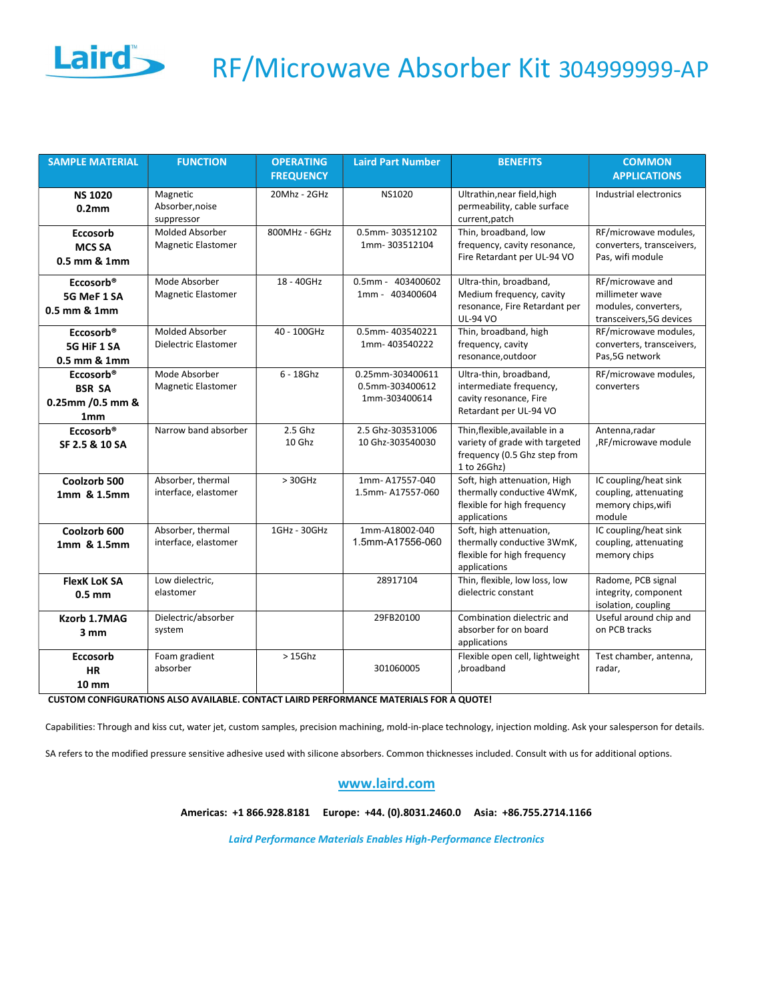

## Laird RF/Microwave Absorber Kit 3049999999-AP

| <b>SAMPLE MATERIAL</b>                                                         | <b>FUNCTION</b>                                | <b>OPERATING</b>  | <b>Laird Part Number</b>                             | <b>BENEFITS</b>                                                                                                 | <b>COMMON</b>                                                                           |
|--------------------------------------------------------------------------------|------------------------------------------------|-------------------|------------------------------------------------------|-----------------------------------------------------------------------------------------------------------------|-----------------------------------------------------------------------------------------|
|                                                                                |                                                | <b>FREQUENCY</b>  |                                                      |                                                                                                                 | <b>APPLICATIONS</b>                                                                     |
| <b>NS 1020</b><br>0.2 <sub>mm</sub>                                            | Magnetic<br>Absorber, noise<br>suppressor      | 20Mhz - 2GHz      | <b>NS1020</b>                                        | Ultrathin, near field, high<br>permeability, cable surface<br>current, patch                                    | Industrial electronics                                                                  |
| Eccosorb<br><b>MCS SA</b><br>0.5 mm & 1mm                                      | <b>Molded Absorber</b><br>Magnetic Elastomer   | 800MHz - 6GHz     | 0.5mm-303512102<br>1mm-303512104                     | Thin, broadband, low<br>frequency, cavity resonance,<br>Fire Retardant per UL-94 VO                             | RF/microwave modules,<br>converters, transceivers,<br>Pas, wifi module                  |
| Eccosorb <sup>®</sup><br>5G MeF 1 SA<br>0.5 mm & 1mm                           | Mode Absorber<br>Magnetic Elastomer            | 18 - 40GHz        | 0.5mm - 403400602<br>1mm - 403400604                 | Ultra-thin, broadband,<br>Medium frequency, cavity<br>resonance, Fire Retardant per<br><b>UL-94 VO</b>          | RF/microwave and<br>millimeter wave<br>modules, converters,<br>transceivers, 5G devices |
| Eccosorb <sup>®</sup><br>5G HiF 1 SA<br>0.5 mm & 1mm                           | <b>Molded Absorber</b><br>Dielectric Elastomer | 40 - 100GHz       | 0.5mm-403540221<br>1mm-403540222                     | Thin, broadband, high<br>frequency, cavity<br>resonance, outdoor                                                | RF/microwave modules,<br>converters, transceivers,<br>Pas, 5G network                   |
| Eccosorb <sup>®</sup><br><b>BSR SA</b><br>0.25mm / 0.5 mm &<br>1 <sub>mm</sub> | Mode Absorber<br>Magnetic Elastomer            | $6 - 18$ Ghz      | 0.25mm-303400611<br>0.5mm-303400612<br>1mm-303400614 | Ultra-thin, broadband,<br>intermediate frequency,<br>cavity resonance, Fire<br>Retardant per UL-94 VO           | RF/microwave modules,<br>converters                                                     |
| Eccosorb <sup>®</sup><br>SF 2.5 & 10 SA                                        | Narrow band absorber                           | 2.5 Ghz<br>10 Ghz | 2.5 Ghz-303531006<br>10 Ghz-303540030                | Thin, flexible, available in a<br>variety of grade with targeted<br>frequency (0.5 Ghz step from<br>1 to 26Ghz) | Antenna.radar<br>,RF/microwave module                                                   |
| Coolzorb 500<br>1mm & 1.5mm                                                    | Absorber, thermal<br>interface, elastomer      | $> 30$ GHz        | 1mm-A17557-040<br>1.5mm-A17557-060                   | Soft, high attenuation, High<br>thermally conductive 4WmK,<br>flexible for high frequency<br>applications       | IC coupling/heat sink<br>coupling, attenuating<br>memory chips, wifi<br>module          |
| Coolzorb 600<br>1mm & 1.5mm                                                    | Absorber, thermal<br>interface, elastomer      | 1GHz - 30GHz      | 1mm-A18002-040<br>1.5mm-A17556-060                   | Soft, high attenuation,<br>thermally conductive 3WmK,<br>flexible for high frequency<br>applications            | IC coupling/heat sink<br>coupling, attenuating<br>memory chips                          |
| <b>FlexK LoK SA</b><br>$0.5$ mm                                                | Low dielectric,<br>elastomer                   |                   | 28917104                                             | Thin, flexible, low loss, low<br>dielectric constant                                                            | Radome, PCB signal<br>integrity, component<br>isolation, coupling                       |
| Kzorb 1.7MAG<br>3mm                                                            | Dielectric/absorber<br>system                  |                   | 29FB20100                                            | Combination dielectric and<br>absorber for on board<br>applications                                             | Useful around chip and<br>on PCB tracks                                                 |
| <b>Eccosorb</b><br><b>HR</b><br>$10 \, \text{mm}$                              | Foam gradient<br>absorber                      | $>15$ Ghz         | 301060005                                            | Flexible open cell, lightweight<br>,broadband                                                                   | Test chamber, antenna,<br>radar,                                                        |

CUSTOM CONFIGURATIONS ALSO AVAILABLE. CONTACT LAIRD PERFORMANCE MATERIALS FOR A QUOTE!

Capabilities: Through and kiss cut, water jet, custom samples, precision machining, mold-in-place technology, injection molding. Ask your salesperson for details.

SA refers to the modified pressure sensitive adhesive used with silicone absorbers. Common thicknesses included. Consult with us for additional options.

## www.laird.com

Americas: +1 866.928.8181 Europe: +44. (0).8031.2460.0 Asia: +86.755.2714.1166

Laird Performance Materials Enables High-Performance Electronics